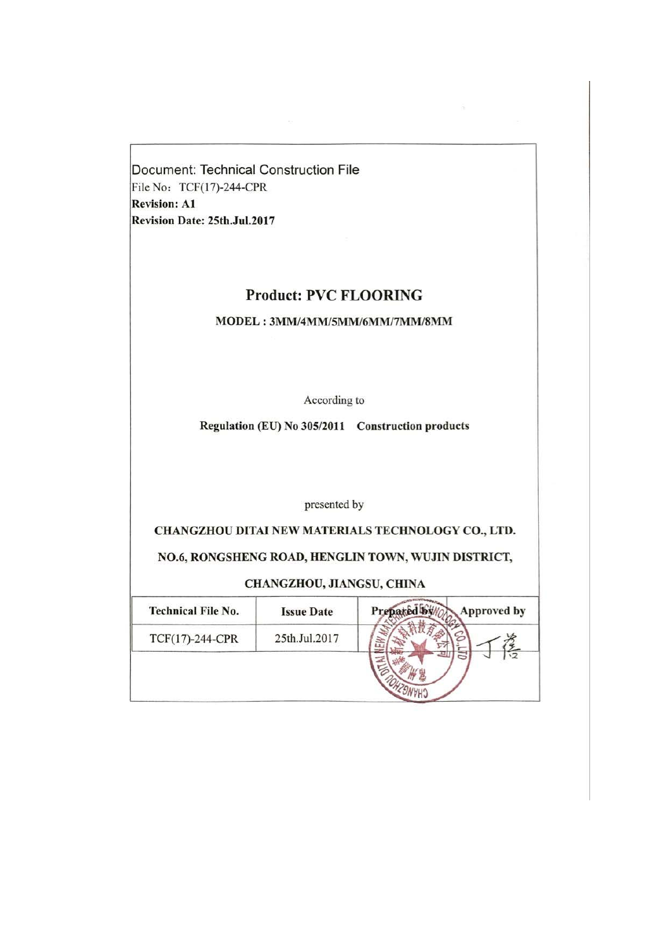Document: Technical Construction File File No: TCF(17)-244-CPR **Revision: A1** Revision Date: 25th.Jul.2017

 $\sim$ 

#### **Product: PVC FLOORING**

#### MODEL: 3MM/4MM/5MM/6MM/7MM/8MM

According to

Regulation (EU) No 305/2011 Construction products

presented by

CHANGZHOU DITAI NEW MATERIALS TECHNOLOGY CO., LTD.

NO.6, RONGSHENG ROAD, HENGLIN TOWN, WUJIN DISTRICT,

#### CHANGZHOU, JIANGSU, CHINA

| <b>Technical File No.</b> | <b>Issue Date</b> | Prepared by<br>Approved by |
|---------------------------|-------------------|----------------------------|
| TCF(17)-244-CPR           | 25th.Jul.2017     |                            |
|                           |                   |                            |
|                           |                   |                            |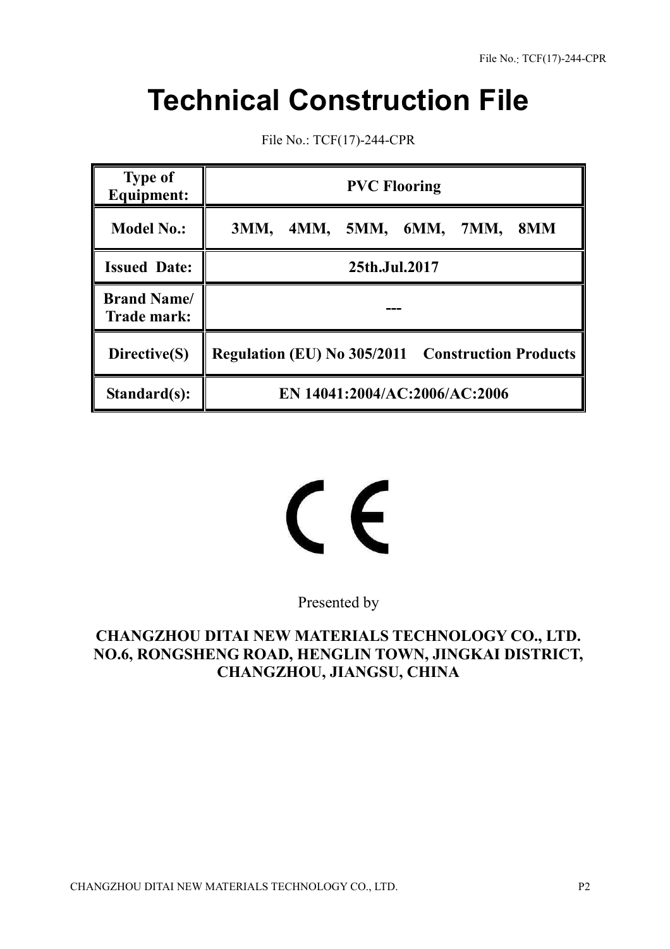# **Technical Construction File**

File No.: TCF(17)-244-CPR

| <b>Type of</b><br>Equipment:      | <b>PVC Flooring</b>                                      |  |  |
|-----------------------------------|----------------------------------------------------------|--|--|
| <b>Model No.:</b>                 | 3MM,<br>4MM,<br>5MM, 6MM, 7MM,<br>8MM                    |  |  |
| <b>Issued Date:</b>               | 25th.Jul.2017                                            |  |  |
| <b>Brand Name/</b><br>Trade mark: |                                                          |  |  |
| Directive(S)                      | <b>Regulation (EU) No 305/2011 Construction Products</b> |  |  |
| Standard(s):                      | EN 14041:2004/AC:2006/AC:2006                            |  |  |

# $\epsilon$

Presented by

# **CHANGZHOU DITAI NEW MATERIALS TECHNOLOGY CO., LTD. NO.6, RONGSHENG ROAD, HENGLIN TOWN, JINGKAI DISTRICT, CHANGZHOU, JIANGSU, CHINA**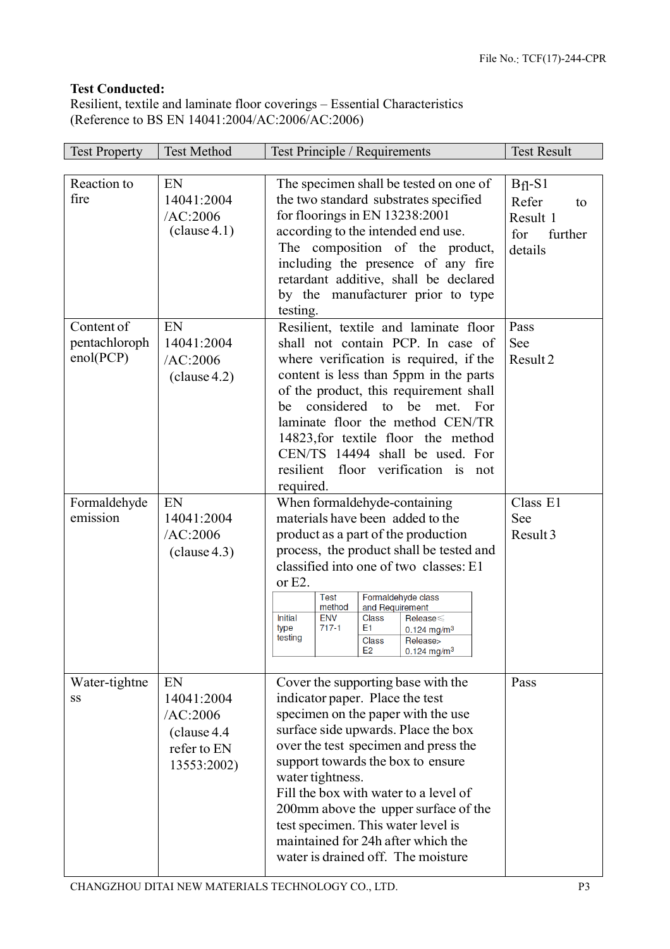# **Test Conducted:**

Resilient, textile and laminate floor coverings – Essential Characteristics (Reference to BS EN 14041:2004/AC:2006/AC:2006)

| <b>Test Property</b>                                            | <b>Test Method</b>                                                                         | Test Principle / Requirements                                                                                                                                                                                                                                                                                                                                                                                                                                                                                                                                                                                                                                                                                                                        | <b>Test Result</b>                                                                          |
|-----------------------------------------------------------------|--------------------------------------------------------------------------------------------|------------------------------------------------------------------------------------------------------------------------------------------------------------------------------------------------------------------------------------------------------------------------------------------------------------------------------------------------------------------------------------------------------------------------------------------------------------------------------------------------------------------------------------------------------------------------------------------------------------------------------------------------------------------------------------------------------------------------------------------------------|---------------------------------------------------------------------------------------------|
|                                                                 |                                                                                            |                                                                                                                                                                                                                                                                                                                                                                                                                                                                                                                                                                                                                                                                                                                                                      |                                                                                             |
| Reaction to<br>fire<br>Content of<br>pentachloroph<br>enol(PCP) | EN<br>14041:2004<br>/AC:2006<br>clause 4.1)<br>EN<br>14041:2004<br>/AC:2006<br>clause 4.2) | The specimen shall be tested on one of<br>the two standard substrates specified<br>for floorings in EN 13238:2001<br>according to the intended end use.<br>The composition of the product,<br>including the presence of any fire<br>retardant additive, shall be declared<br>by the manufacturer prior to type<br>testing.<br>Resilient, textile and laminate floor<br>shall not contain PCP. In case of<br>where verification is required, if the<br>content is less than 5ppm in the parts<br>of the product, this requirement shall<br>considered to be met.<br>For<br>be<br>laminate floor the method CEN/TR<br>14823, for textile floor the method<br>CEN/TS 14494 shall be used. For<br>resilient<br>floor verification is<br>not<br>required. | $BfI-S1$<br>Refer<br>to<br>Result 1<br>for<br>further<br>details<br>Pass<br>See<br>Result 2 |
| Formaldehyde<br>emission                                        | EN<br>14041:2004<br>/AC:2006<br>clause 4.3)                                                | When formaldehyde-containing<br>materials have been added to the<br>product as a part of the production<br>process, the product shall be tested and<br>classified into one of two classes: E1<br>or E2.<br>Formaldehyde class<br>Test<br>method<br>and Requirement<br><b>ENV</b><br>$Release \leq$<br>Initial<br><b>Class</b><br>E1<br>$717-1$<br>type<br>$0.124$ mg/m <sup>3</sup><br>testing<br><b>Class</b><br>Release><br>E <sub>2</sub><br>$0.124$ mg/m <sup>3</sup>                                                                                                                                                                                                                                                                            | Class E1<br>See<br>Result 3                                                                 |
| Water-tightne<br>SS                                             | EN<br>14041:2004<br>/AC:2006<br>(clause 4.4)<br>refer to EN<br>13553:2002)                 | Cover the supporting base with the<br>indicator paper. Place the test<br>specimen on the paper with the use<br>surface side upwards. Place the box<br>over the test specimen and press the<br>support towards the box to ensure<br>water tightness.<br>Fill the box with water to a level of<br>200mm above the upper surface of the<br>test specimen. This water level is<br>maintained for 24h after which the<br>water is drained off. The moisture                                                                                                                                                                                                                                                                                               | Pass                                                                                        |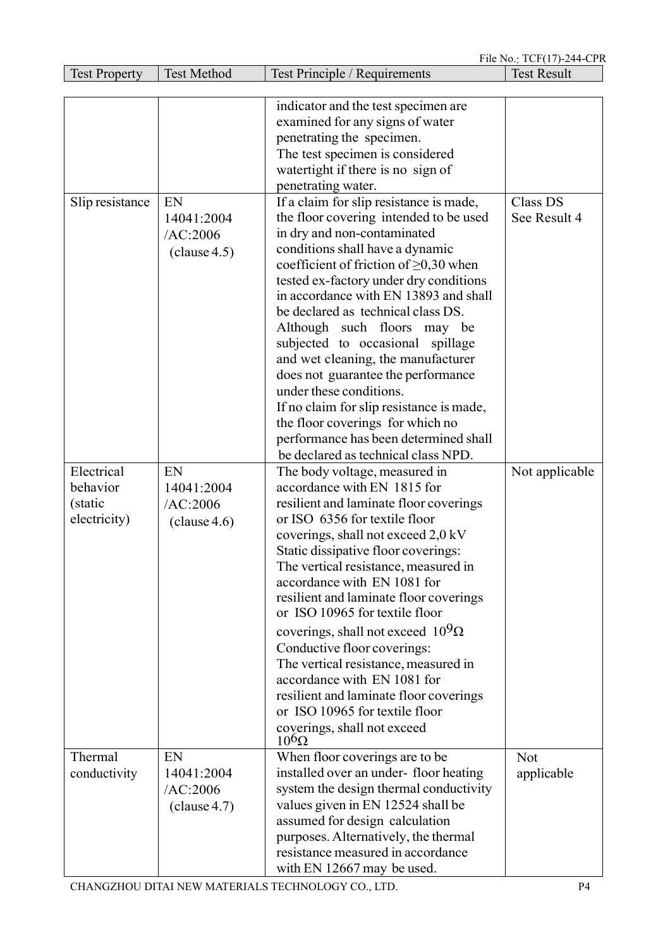| File No. TCF(17)-244-CPR |                    |                                                                          |                    |
|--------------------------|--------------------|--------------------------------------------------------------------------|--------------------|
| <b>Test Property</b>     | <b>Test Method</b> | Test Principle / Requirements                                            | <b>Test Result</b> |
|                          |                    |                                                                          |                    |
|                          |                    | indicator and the test specimen are                                      |                    |
|                          |                    | examined for any signs of water                                          |                    |
|                          |                    | penetrating the specimen.                                                |                    |
|                          |                    | The test specimen is considered                                          |                    |
|                          |                    | watertight if there is no sign of                                        |                    |
|                          |                    | penetrating water.                                                       |                    |
| Slip resistance          | EN                 | If a claim for slip resistance is made,                                  | Class DS           |
|                          | 14041:2004         | the floor covering intended to be used                                   | See Result 4       |
|                          | /AC:2006           | in dry and non-contaminated                                              |                    |
|                          | clause 4.5)        | conditions shall have a dynamic                                          |                    |
|                          |                    | coefficient of friction of $\geq 0,30$ when                              |                    |
|                          |                    | tested ex-factory under dry conditions                                   |                    |
|                          |                    | in accordance with EN 13893 and shall                                    |                    |
|                          |                    | be declared as technical class DS.                                       |                    |
|                          |                    | Although such floors may be                                              |                    |
|                          |                    | subjected to occasional spillage                                         |                    |
|                          |                    | and wet cleaning, the manufacturer                                       |                    |
|                          |                    | does not guarantee the performance                                       |                    |
|                          |                    | under these conditions.                                                  |                    |
|                          |                    | If no claim for slip resistance is made,                                 |                    |
|                          |                    | the floor coverings for which no                                         |                    |
|                          |                    | performance has been determined shall                                    |                    |
|                          |                    | be declared as technical class NPD.                                      |                    |
| Electrical               | EN                 | The body voltage, measured in                                            | Not applicable     |
| behavior                 | 14041:2004         | accordance with EN 1815 for                                              |                    |
| (static                  | /AC:2006           | resilient and laminate floor coverings                                   |                    |
| electricity)             | clause 4.6)        | or ISO 6356 for textile floor                                            |                    |
|                          |                    | coverings, shall not exceed 2,0 kV                                       |                    |
|                          |                    | Static dissipative floor coverings:                                      |                    |
|                          |                    | The vertical resistance, measured in<br>accordance with EN 1081 for      |                    |
|                          |                    | resilient and laminate floor coverings                                   |                    |
|                          |                    | or ISO 10965 for textile floor                                           |                    |
|                          |                    |                                                                          |                    |
|                          |                    | coverings, shall not exceed $10^9\Omega$                                 |                    |
|                          |                    | Conductive floor coverings:                                              |                    |
|                          |                    | The vertical resistance, measured in<br>accordance with EN 1081 for      |                    |
|                          |                    |                                                                          |                    |
|                          |                    | resilient and laminate floor coverings<br>or ISO 10965 for textile floor |                    |
|                          |                    |                                                                          |                    |
|                          |                    | coverings, shall not exceed<br>$10^{6} \Omega$                           |                    |
| Thermal                  | EN                 | When floor coverings are to be                                           | Not                |
| conductivity             | 14041:2004         | installed over an under-floor heating                                    | applicable         |
|                          | /AC:2006           | system the design thermal conductivity                                   |                    |
|                          | clause 4.7)        | values given in EN 12524 shall be                                        |                    |
|                          |                    | assumed for design calculation                                           |                    |
|                          |                    | purposes. Alternatively, the thermal                                     |                    |
|                          |                    | resistance measured in accordance                                        |                    |
|                          |                    | with EN 12667 may be used.                                               |                    |

CHANGZHOU DITAI NEW MATERIALS TECHNOLOGY CO., LTD. P4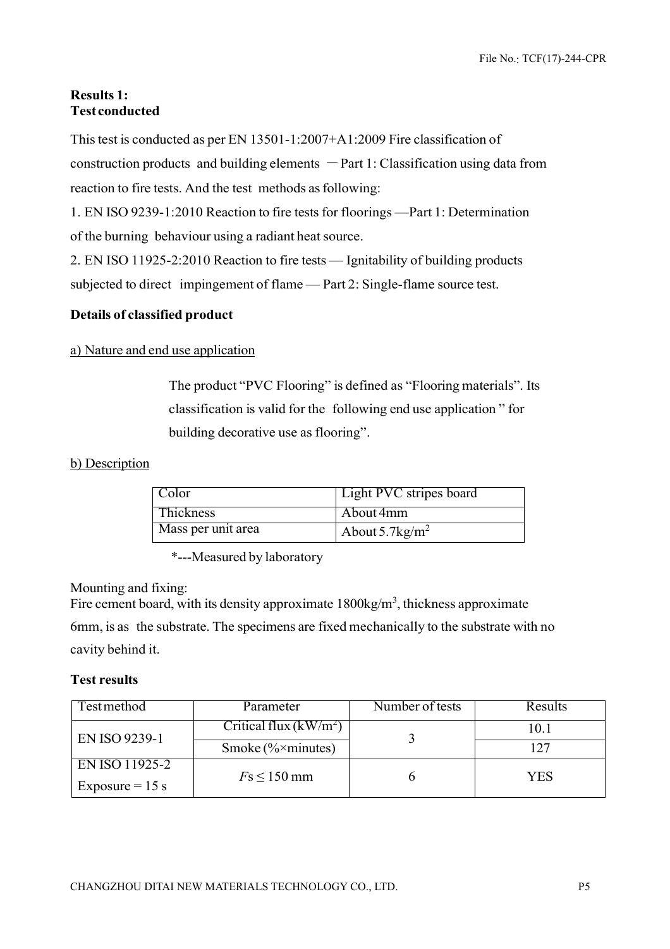#### **Results 1: Test conducted**

This test is conducted as per EN 13501-1:2007+A1:2009 Fire classification of construction products and building elements  $-$  Part 1: Classification using data from reaction to fire tests. And the test methods as following:

1. EN ISO 9239-1:2010 Reaction to fire tests for floorings —Part 1: Determination of the burning behaviour using a radiant heat source.

2. EN ISO 11925-2:2010 Reaction to fire tests — Ignitability of building products subjected to direct impingement of flame — Part 2: Single-flame source test.

# **Details of classified product**

# a) Nature and end use application

The product "PVC Flooring" is defined as "Flooring materials". Its classification is valid for the following end use application " for building decorative use as flooring".

# b) Description

| Color              | <b>Light PVC</b> stripes board |
|--------------------|--------------------------------|
| l Thickness        | About 4mm                      |
| Mass per unit area | About 5.7 $\text{kg/m}^2$      |

\*---Measured by laboratory

#### Mounting and fixing:

Fire cement board, with its density approximate  $1800 \text{kg/m}^3$ , thickness approximate 6mm, is as the substrate. The specimens are fixed mechanically to the substrate with no cavity behind it.

#### **Test results**

| Testmethod        | Parameter                    | Number of tests | Results |
|-------------------|------------------------------|-----------------|---------|
| EN ISO 9239-1     | Critical flux $(kW/m^2)$     |                 |         |
|                   | Smoke ( $\% \times$ minutes) |                 | າາ      |
| EN ISO 11925-2    | $Fs < 150$ mm                |                 | YES     |
| Exposure = $15 s$ |                              |                 |         |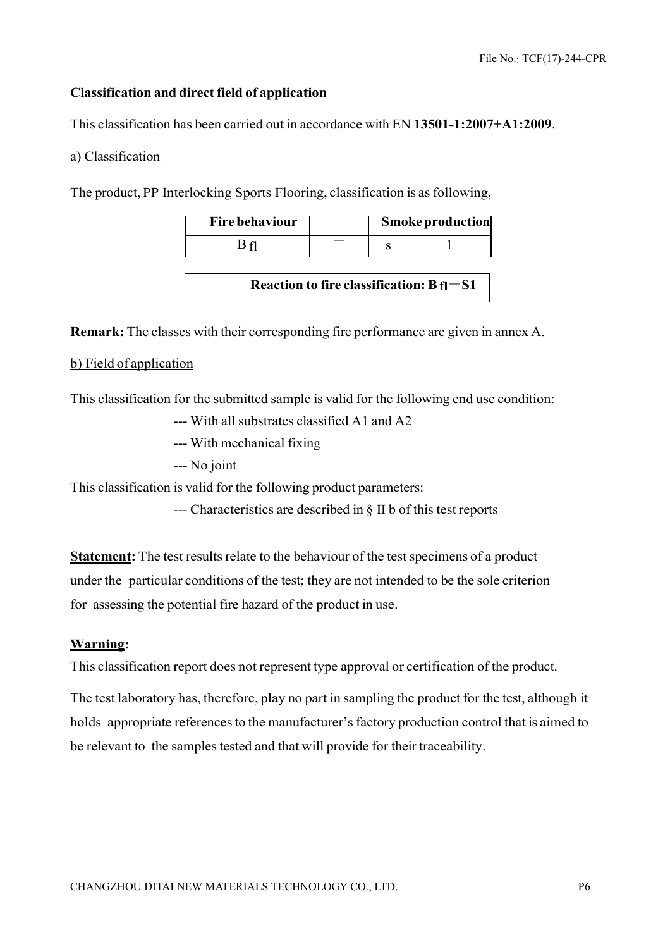# **Classification and direct field of application**

This classification has been carried out in accordance with EN **13501-1:2007+A1:2009**.

#### a) Classification

The product, PP Interlocking Sports Flooring, classification is as following,

| <b>Fire behaviour</b> |  | <b>Smoke production</b> |
|-----------------------|--|-------------------------|
| - 41                  |  |                         |

**Reaction to fire classification: B fl**-**S1**

**Remark:** The classes with their corresponding fire performance are given in annex A.

#### b) Field of application

This classification for the submitted sample is valid for the following end use condition:

--- With all substrates classified A1 and A2

- --- With mechanical fixing
- --- No joint

This classification is valid for the following product parameters:

--- Characteristics are described in § II b of this test reports

**Statement:** The test results relate to the behaviour of the test specimens of a product under the particular conditions of the test; they are not intended to be the sole criterion for assessing the potential fire hazard of the product in use.

#### **Warning:**

This classification report does not represent type approval or certification of the product.

The test laboratory has, therefore, play no part in sampling the product for the test, although it holds appropriate references to the manufacturer's factory production control that is aimed to be relevant to the samples tested and that will provide for their traceability.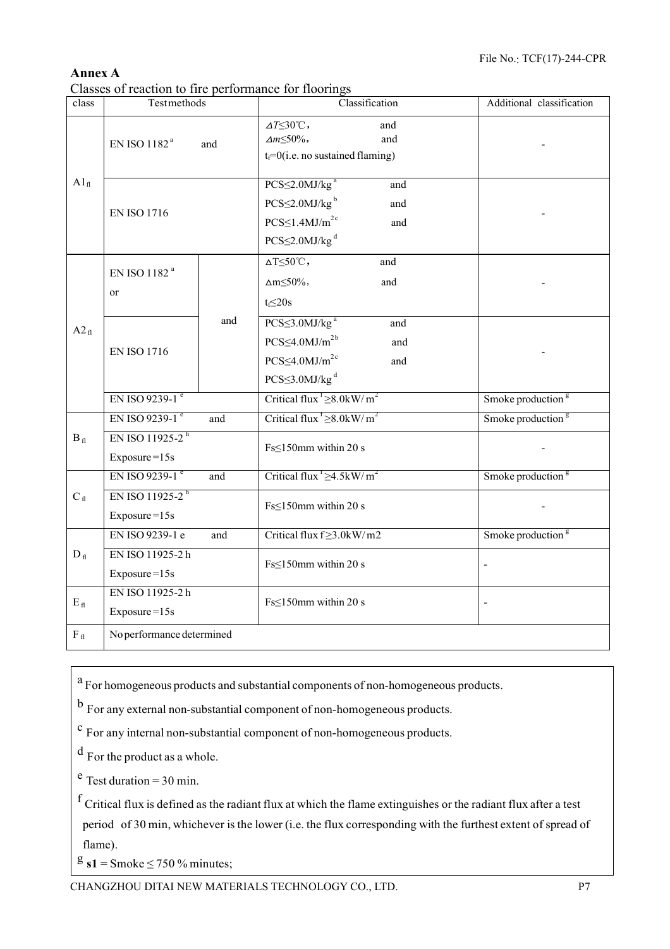# **Annex A**

| Classes of reaction to fire performance for floorings |  |  |
|-------------------------------------------------------|--|--|
|                                                       |  |  |

| class                         | Testmethods                                 |     | Classification                                                                                                                                      | Additional classification     |
|-------------------------------|---------------------------------------------|-----|-----------------------------------------------------------------------------------------------------------------------------------------------------|-------------------------------|
|                               | EN ISO 1182 <sup>ª</sup>                    | and | $\varDelta T \leq 30\,^{\circ}\mathrm{C}$ ,<br>and<br>$\Delta m \leq 50\%$ ,<br>and<br>$t_f = 0$ (i.e. no sustained flaming)                        |                               |
| $A1_{fl}$                     | <b>EN ISO 1716</b>                          |     | $PCS \leq 2.0$ MJ/kg <sup>a</sup><br>and<br>$PCS \leq 2.0$ MJ/kg $^b$<br>and<br>$PCS \leq 1.4 MJ/m^{2c}$<br>and<br>PCS<2.0MJ/kg <sup>d</sup>        |                               |
|                               | EN ISO 1182 <sup>ª</sup><br><sub>or</sub>   |     | $\triangle T \leq 50^{\circ}C$ ,<br>and<br>$\Delta m \leq 50\%$<br>and<br>$t_f \leq 20s$                                                            |                               |
| $A2_{\text{fl}}$              | <b>EN ISO 1716</b>                          | and | $PCS \leq 3.0$ MJ/kg <sup>a</sup><br>and<br>$PCS \leq 4.0 MJ/m^{2b}$<br>and<br>$PCS \leq 4.0 MJ/m^{2c}$<br>and<br>$PCS \leq 3.0 MJ/kg$ <sup>d</sup> |                               |
|                               | EN ISO 9239-1 $^{\circ}$                    |     | Critical flux $\frac{1}{2}$ $\geq$ 8.0kW/m <sup>2</sup>                                                                                             | Smoke production <sup>g</sup> |
|                               | EN ISO 9239-1 $^{\circ}$                    | and | Critical flux $\frac{1}{2}$ 2.0kW/m <sup>2</sup>                                                                                                    | Smoke production <sup>g</sup> |
| $\mathbf{B}_{\, \mathrm{fl}}$ | EN ISO 11925-2 <sup>h</sup><br>Exposure=15s |     | Fs<150mm within 20 s                                                                                                                                |                               |
|                               | EN ISO 9239-1 $\degree$                     | and | Critical flux $\sqrt{24.5 \text{kW/m}^2}$                                                                                                           | Smoke production <sup>g</sup> |
| $C_{\text{fl}}$               | EN ISO 11925-2 <sup>h</sup><br>Exposure=15s |     | Fs<150mm within 20 s                                                                                                                                |                               |
|                               | EN ISO 9239-1 e                             | and | Critical flux f≥3.0kW/m2                                                                                                                            | Smoke production <sup>g</sup> |
| $D_{\text{fl}}$               | EN ISO 11925-2 h<br>Exposure=15s            |     | Fs<150mm within 20 s                                                                                                                                | $\frac{1}{2}$                 |
| $E_{\text{fl}}$               | EN ISO 11925-2 h<br>Exposure=15s            |     | Fs<150mm within 20 s                                                                                                                                |                               |
| $\rm F_{\,fl}$                | No performance determined                   |     |                                                                                                                                                     |                               |

<sup>a</sup> For homogeneous products and substantial components of non-homogeneous products.

b For any external non-substantial component of non-homogeneous products.

c For any internal non-substantial component of non-homogeneous products.

d For the product as a whole.

 $e^{i\theta}$  Test duration = 30 min.

f Critical flux is defined as the radiant flux at which the flame extinguishes or the radiant flux after a test period of 30 min, whichever is the lower (i.e. the flux corresponding with the furthest extent of spread of flame).

 $\frac{g}{s}$ **s1** = Smoke  $\leq$  750 % minutes;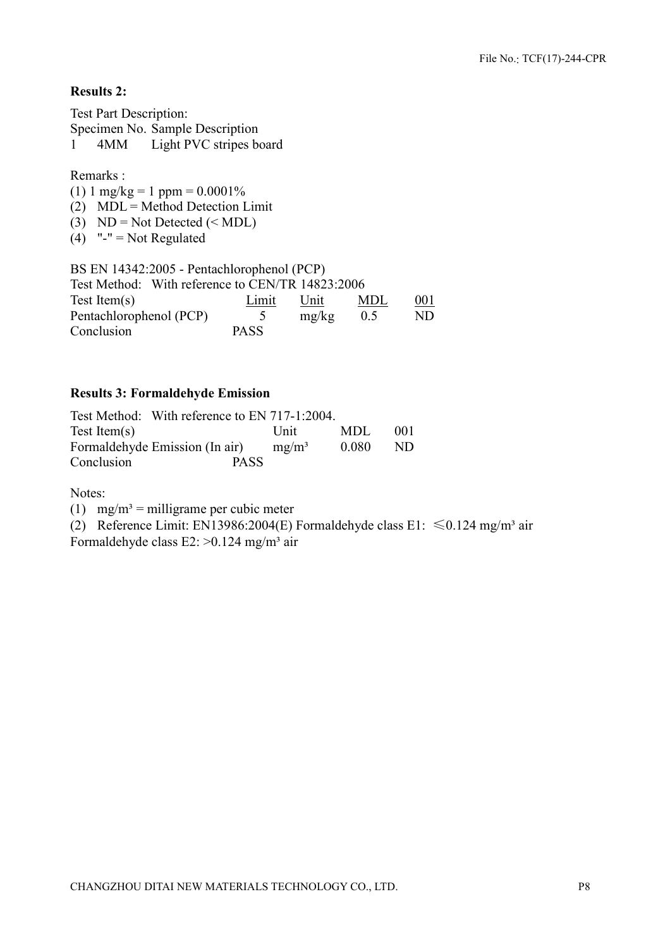#### **Results 2:**

Test Part Description: Specimen No. Sample Description<br>1 4MM Light PVC stripes be 1 4MM Light PVC stripes board

#### Remarks :

- (1)  $1 \text{ mg/kg} = 1 \text{ ppm} = 0.0001\%$
- (2) MDL = Method Detection Limit
- (3)  $ND = Not detected (< MDL)$
- (4)  $"=' = Not Regulated$

| BS EN 14342:2005 - Pentachlorophenol (PCP)       |                |       |     |     |  |  |
|--------------------------------------------------|----------------|-------|-----|-----|--|--|
| Test Method: With reference to CEN/TR 14823:2006 |                |       |     |     |  |  |
| $Test$ Item $(s)$                                | Limit          | Unit  | MDL | 001 |  |  |
| Pentachlorophenol (PCP)                          | $\overline{5}$ | mg/kg | 0.5 | ND. |  |  |
| Conclusion                                       | <b>PASS</b>    |       |     |     |  |  |

#### **Results 3: Formaldehyde Emission**

|                   | Test Method: With reference to EN 717-1:2004. |                          |       |      |
|-------------------|-----------------------------------------------|--------------------------|-------|------|
| $Test$ Item $(s)$ |                                               | $\overline{\text{Unit}}$ | MDL.  | (001 |
|                   | Formaldehyde Emission (In air)                | $mg/m^3$                 | 0.080 | ND.  |
| Conclusion        | <b>PASS</b>                                   |                          |       |      |

Notes:

(1) mg/m<sup>3</sup> = milligrame per cubic meter

(2) Reference Limit: EN13986:2004(E) Formaldehyde class E1:  $\leq 0.124$  mg/m<sup>3</sup> air

Formaldehyde class E2: > 0.124 mg/m<sup>3</sup> air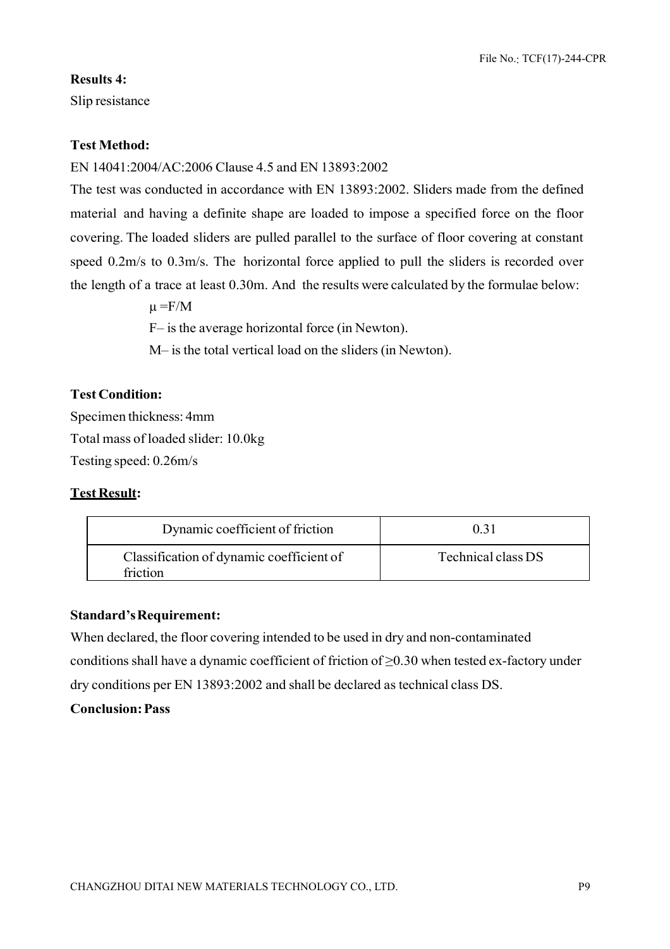#### **Results 4:**

Slip resistance

# **Test Method:**

#### EN 14041:2004/AC:2006 Clause 4.5 and EN 13893:2002

The test was conducted in accordance with EN 13893:2002. Sliders made from the defined material and having a definite shape are loaded to impose a specified force on the floor covering. The loaded sliders are pulled parallel to the surface of floor covering at constant speed 0.2m/s to 0.3m/s. The horizontal force applied to pull the sliders is recorded over the length of a trace at least 0.30m. And the results were calculated by the formulae below:

 $\mu = F/M$ 

F– is the average horizontal force (in Newton).

M– is the total vertical load on the sliders (in Newton).

# **Test Condition:**

Specimen thickness: 4mm Total mass of loaded slider: 10.0kg Testing speed: 0.26m/s

#### **Test Result:**

| Dynamic coefficient of friction                      | 0.31               |
|------------------------------------------------------|--------------------|
| Classification of dynamic coefficient of<br>friction | Technical class DS |

#### **Standard's Requirement:**

When declared, the floor covering intended to be used in dry and non-contaminated conditions shall have a dynamic coefficient of friction of ≥0.30 when tested ex-factory under dry conditions per EN 13893:2002 and shall be declared as technical class DS.

#### **Conclusion: Pass**